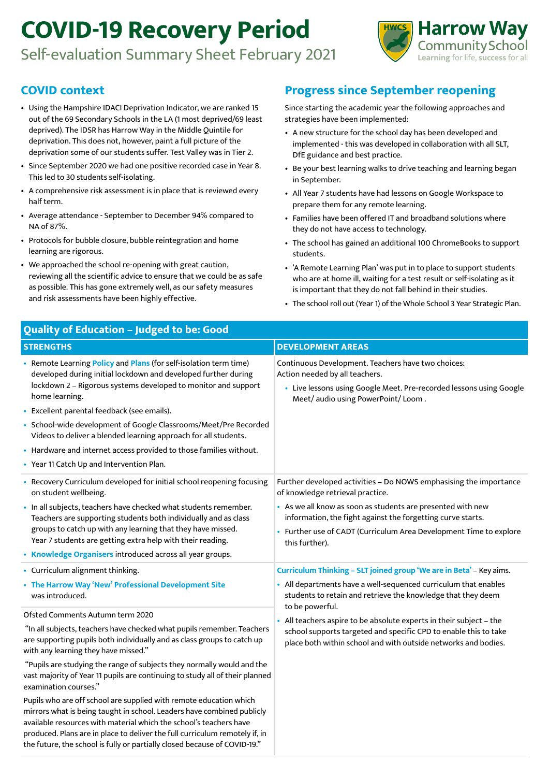## **COVID-19 Recovery Period**

Self-evaluation Summary Sheet February 2021



## **COVID context**

- Using the Hampshire IDACI Deprivation Indicator, we are ranked 15 out of the 69 Secondary Schools in the LA (1 most deprived/69 least deprived). The IDSR has Harrow Way in the Middle Quintile for deprivation. This does not, however, paint a full picture of the deprivation some of our students suffer. Test Valley was in Tier 2.
- Since September 2020 we had one positive recorded case in Year 8. This led to 30 students self-isolating.
- A comprehensive risk assessment is in place that is reviewed every half term.
- Average attendance September to December 94% compared to NA of 87%.
- Protocols for bubble closure, bubble reintegration and home learning are rigorous.
- We approached the school re-opening with great caution, reviewing all the scientific advice to ensure that we could be as safe as possible. This has gone extremely well, as our safety measures and risk assessments have been highly effective.

## **Progress since September reopening**

Since starting the academic year the following approaches and strategies have been implemented:

- A new structure for the school day has been developed and implemented - this was developed in collaboration with all SLT, DfE guidance and best practice.
- Be your best learning walks to drive teaching and learning began in September.
- All Year 7 students have had lessons on Google Workspace to prepare them for any remote learning.
- Families have been offered IT and broadband solutions where they do not have access to technology.
- The school has gained an additional 100 ChromeBooks to support students.
- 'A Remote Learning Plan' was put in to place to support students who are at home ill, waiting for a test result or self-isolating as it is important that they do not fall behind in their studies.
- The school roll out (Year 1) of the Whole School 3 Year Strategic Plan.

| Quality of Education - Judged to be: Good                                                                                                                                                                                                                                                                                                                                      |                                                                                                                                                                                                                                                                                                           |  |
|--------------------------------------------------------------------------------------------------------------------------------------------------------------------------------------------------------------------------------------------------------------------------------------------------------------------------------------------------------------------------------|-----------------------------------------------------------------------------------------------------------------------------------------------------------------------------------------------------------------------------------------------------------------------------------------------------------|--|
| <b>STRENGTHS</b>                                                                                                                                                                                                                                                                                                                                                               | <b>DEVELOPMENT AREAS</b>                                                                                                                                                                                                                                                                                  |  |
| • Remote Learning Policy and Plans (for self-isolation term time)<br>developed during initial lockdown and developed further during<br>lockdown 2 - Rigorous systems developed to monitor and support<br>home learning.<br>• Excellent parental feedback (see emails).                                                                                                         | Continuous Development. Teachers have two choices:<br>Action needed by all teachers.<br>• Live lessons using Google Meet. Pre-recorded lessons using Google<br>Meet/audio using PowerPoint/Loom.                                                                                                          |  |
| • School-wide development of Google Classrooms/Meet/Pre Recorded<br>Videos to deliver a blended learning approach for all students.                                                                                                                                                                                                                                            |                                                                                                                                                                                                                                                                                                           |  |
| • Hardware and internet access provided to those families without.                                                                                                                                                                                                                                                                                                             |                                                                                                                                                                                                                                                                                                           |  |
| • Year 11 Catch Up and Intervention Plan.                                                                                                                                                                                                                                                                                                                                      |                                                                                                                                                                                                                                                                                                           |  |
| • Recovery Curriculum developed for initial school reopening focusing<br>on student wellbeing.<br>· In all subjects, teachers have checked what students remember.<br>Teachers are supporting students both individually and as class<br>groups to catch up with any learning that they have missed.<br>Year 7 students are getting extra help with their reading.             | Further developed activities - Do NOWS emphasising the importance<br>of knowledge retrieval practice.<br>• As we all know as soon as students are presented with new<br>information, the fight against the forgetting curve starts.<br>• Further use of CADT (Curriculum Area Development Time to explore |  |
| • Knowledge Organisers introduced across all year groups.                                                                                                                                                                                                                                                                                                                      | this further).                                                                                                                                                                                                                                                                                            |  |
| • Curriculum alignment thinking.<br>• The Harrow Way 'New' Professional Development Site<br>was introduced.                                                                                                                                                                                                                                                                    | Curriculum Thinking - SLT joined group 'We are in Beta' - Key aims.<br>• All departments have a well-sequenced curriculum that enables<br>students to retain and retrieve the knowledge that they deem                                                                                                    |  |
| Ofsted Comments Autumn term 2020                                                                                                                                                                                                                                                                                                                                               | to be powerful.                                                                                                                                                                                                                                                                                           |  |
| "In all subjects, teachers have checked what pupils remember. Teachers<br>are supporting pupils both individually and as class groups to catch up<br>with any learning they have missed."                                                                                                                                                                                      | • All teachers aspire to be absolute experts in their subject - the<br>school supports targeted and specific CPD to enable this to take<br>place both within school and with outside networks and bodies.                                                                                                 |  |
| "Pupils are studying the range of subjects they normally would and the<br>vast majority of Year 11 pupils are continuing to study all of their planned<br>examination courses."                                                                                                                                                                                                |                                                                                                                                                                                                                                                                                                           |  |
| Pupils who are off school are supplied with remote education which<br>mirrors what is being taught in school. Leaders have combined publicly<br>available resources with material which the school's teachers have<br>produced. Plans are in place to deliver the full curriculum remotely if, in<br>the future, the school is fully or partially closed because of COVID-19." |                                                                                                                                                                                                                                                                                                           |  |